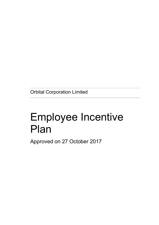Orbital Corporation Limited

# Employee Incentive Plan

Approved on 27 October 2017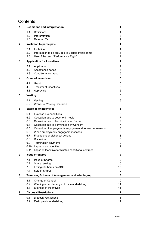## **Contents**

| 1            | <b>Definitions and Interpretation</b>                                                    | 1      |
|--------------|------------------------------------------------------------------------------------------|--------|
|              | <b>Definitions</b><br>1.1                                                                | 1      |
|              | 1.2<br>Interpretation                                                                    | 3      |
|              | Deferred Tax<br>1.3                                                                      | 4      |
| $\mathbf{2}$ | Invitation to participate                                                                | 4      |
|              | 2.1<br>Invitation                                                                        | 4      |
|              | 2.2<br>Information to be provided to Eligible Participants                               | 4      |
|              | 2.3<br>Use of the term "Performance Right"                                               | 4      |
| 3            | <b>Application for Incentives</b>                                                        | 4      |
|              | 3.1<br>Application                                                                       | 4      |
|              | 3.2<br>Acceptance period                                                                 | 5      |
|              | Conditional contract<br>3.3                                                              | 5      |
| 4            | <b>Grant of Incentives</b>                                                               | 5      |
|              | 4.1<br>Grant                                                                             | 5      |
|              | <b>Transfer of Incentives</b><br>4.2                                                     | 5      |
|              | 4.3<br>Approvals                                                                         | 6      |
| 5            | <b>Vesting</b>                                                                           | 6      |
|              |                                                                                          |        |
|              | 5.1<br>Vesting                                                                           | 6      |
|              | 5.2<br><b>Waiver of Vesting Condition</b>                                                | 6      |
| 6            | <b>Exercise of Incentives</b>                                                            | 6      |
|              | 6.1<br>Exercise pre-conditions                                                           | 6      |
|              | 6.2<br>Cessation due to death or ill health                                              | 7      |
|              | 6.3<br>Cessation due to Termination for Cause                                            | 7      |
|              | 6.4<br>Cessation due to Termination by Consent                                           | 7      |
|              | Cessation of employment/ engagement due to other reasons<br>6.5                          | 8      |
|              | When employment/ engagement ceases<br>6.6                                                | 8      |
|              | Fraudulent or dishonest actions<br>6.7                                                   | 8      |
|              | <b>Discretion</b><br>6.8                                                                 | 8      |
|              | 6.9<br><b>Termination payments</b>                                                       | 9      |
|              | 6.10 Lapse of an Incentive<br>Lapse of Incentive terminates conditional contract<br>6.11 | 9<br>9 |
|              |                                                                                          |        |
| 7            | <b>Issue of Shares</b>                                                                   | 9      |
|              | 7.1<br><b>Issue of Shares</b>                                                            | 9      |
|              | 7.2<br>Share ranking                                                                     | 10     |
|              | 7.3<br>Listing of Shares on ASX<br>Sale of Shares                                        | 10     |
|              | 7.4                                                                                      | 10     |
| 8            | Takeover, Scheme of Arrangement and Winding-up                                           | 10     |
|              | 8.1<br>Change of Control                                                                 | 10     |
|              | 8.2<br>Winding up and change of main undertaking                                         | 11     |
|              | <b>Exercise of Incentives</b><br>8.3                                                     | 11     |
| 9            | <b>Disposal Restrictions</b>                                                             | 11     |
|              | 9.1<br><b>Disposal restrictions</b>                                                      | 11     |
|              | 9.2<br>Participant's undertaking                                                         | 11     |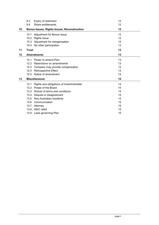|    | 9.3                                                | Expiry of restriction                     | 12 |
|----|----------------------------------------------------|-------------------------------------------|----|
|    | 9.4                                                | Share entitlements                        | 12 |
| 10 | <b>Bonus Issues, Rights Issues, Reconstruction</b> |                                           | 12 |
|    | 10.1                                               | Adjustment for Bonus Issue                | 12 |
|    | 10.2                                               | <b>Rights Issue</b>                       | 12 |
|    |                                                    | 10.3 Adjustment for reorganisation        | 12 |
|    |                                                    | 10.4 No other participation               | 13 |
| 11 | <b>Trust</b>                                       |                                           | 13 |
| 12 |                                                    | <b>Amendments</b>                         | 13 |
|    | 12.1                                               | Power to amend Plan                       | 13 |
|    | 12.2                                               | Restrictions on amendments                | 13 |
|    | 12.3                                               | Company may provide compensation          | 13 |
|    | 12.4                                               | <b>Retrospective Effect</b>               | 13 |
|    |                                                    | 12.5 Notice of amendment                  | 14 |
| 13 |                                                    | <b>Miscellaneous</b>                      | 14 |
|    | 13.1                                               | Rights and obligations of Incentiveholder | 14 |
|    |                                                    | 13.2 Power of the Board                   | 14 |
|    |                                                    | 13.3 Waiver of terms and conditions       | 14 |
|    | 13.4                                               | Dispute or disagreement                   | 14 |
|    | 13.5                                               | Non-Australian residents                  | 14 |
|    |                                                    | 13.6 Communication                        | 15 |
|    | 13.7                                               | Attorney                                  | 15 |
|    |                                                    | 13.8 ASIC relief                          | 15 |
|    |                                                    | 13.9 Laws governing Plan                  | 15 |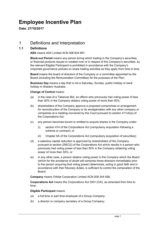## Employee Incentive Plan

Date: 27/10/2017

## 1 Definitions and Interpretation

#### 1.1 Definitions

ASX means ASX Limited ACN 008 624 691;

Black-out Period means any period during which trading in the Company's securities, or financial products issued or created over or in respect of the Company's securities, by the relevant Eligible Participant is prohibited in accordance with the Company's corporate governance policies on share trading activities as they apply from time to time.

Board means the board of directors of the Company or a committee appointed by the Board (including the Remuneration Committee) for the purposes of the Plan;

Business Day means a day that is not a Saturday, Sunday, public holiday or bank holiday in Western Australia;

#### Change of Control means:

- (a) in the case of a Takeover Bid, an offeror who previously had voting power of less than 50% in the Company obtains voting power of more than 50%;
- (b) shareholders of the Company approve a proposed compromise or arrangement for reconstruction of the Company or its amalgamation with any other company or companies at a meeting convened by the Court pursuant to section 411(4)(a) of the Corporations Act;
- (c) any person becomes bound or entitled to acquire shares in the Company under:
	- (i) section 414 of the Corporations Act (compulsory acquisition following a scheme or contract); or
	- (ii) Chapter 6A of the Corporations Act (compulsory acquisition of securities);
- (d) a selective capital reduction is approved by shareholders of the Company pursuant to section 256C(2) of the Corporations Act which results in a person who previously had voting power of less than 50% in the Company obtaining voting power of more than 50%; or
- (e) in any other case, a person obtains voting power in the Company which the Board (which for the avoidance of doubt will comprise those directors immediately prior to the person acquiring that voting power) determines, acting in good faith and in accordance with their fiduciary duties, is sufficient to control the composition of the Board;

Company means Orbital Corporation Limited ACN 009 344 058;

Corporations Act means the Corporations Act 2001 (Cth), as amended from time to time;

#### Eligible Participant means:

- (a) a full time or part time employee of a Group Company;
- (b) a director or company secretary of a Group Company;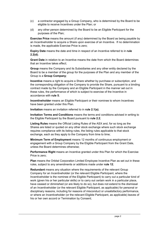- (c) a contractor engaged by a Group Company, who is determined by the Board to be eligible to receive Incentives under the Plan; or
- (d) any other person determined by the Board to be an Eligible Participant for the purposes of the Plan;

Exercise Price means the amount (if any) determined by the Board as being payable by an Incentiveholder to acquire a Share upon exercise of an Incentive. If no determination is made, the applicable Exercise Price is zero;

Expiry Date means the date and time in respect of an Incentive referred to in rule 2.2(d);

Grant Date in relation to an Incentive means the date from which the Board determines that an Incentive takes effect;

Group means the Company and its Subsidiaries and any other entity declared by the Board to be a member of the group for the purposes of the Plan and any member of the Group is a Group Company;

Incentive means a right to acquire a Share whether by purchase or subscription, and the corresponding obligation of the Company to provide the Share, pursuant to a binding contract made by the Company and an Eligible Participant in the manner set out in these rules, the performance of which is subject to exercise of the Incentive in accordance with rule 5;

Incentiveholder means an Eligible Participant or their nominee to whom Incentives have been granted under this Plan.

Invitation means an invitation referred to in rule 2.1(a);

Invitation Terms and Conditions means the terms and conditions advised in writing to the Eligible Participant by the Board pursuant to rule 2.2;

Listing Rules means the Official Listing Rules of the ASX and, for so long as the Shares are listed or quoted on any other stock exchange where such stock exchange requires compliance with its listing rules, the listing rules applicable to that stock exchange, each as they apply to the Company from time to time;

Minimum Term of Employment means 12 months of continuous employment or engagement with a Group Company by the Eligible Participant from the Grant Date, unless the Board determines otherwise;

**Performance Right** means an Incentive granted under this Plan for which the Exercise Price is zero;

Plan means the Orbital Corporation Limited Employee Incentive Plan as set out in these rules, subject to any amendments or additions made under rule 12;

Redundant means any situation where the requirements of the relevant Group Company for an Incentiveholder (or the relevant Eligible Participant, where the Incentiveholder is the nominee of the Eligible Participant) to carry out a particular kind of work (given his or her particular skills) or to carry out certain work in a particular place, have ceased or diminished (or are likely to do so), but does not extend to the dismissal of an Incentiveholder (or the relevant Eligible Participant, as applicable) for personal or disciplinary reasons, including for reasons of misconduct or unsatisfactory performance, or where an Incentiveholder (or the relevant Eligible Participant, as applicable) leaves of his or her own accord or Termination by Consent;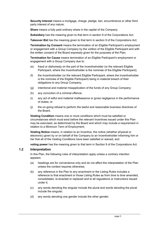Security Interest means a mortgage, charge, pledge, lien, encumbrance or other third party interest of any nature;

Share means a fully paid ordinary share in the capital of the Company;

**Subsidiary** has the meaning given to that term in section 9 of the Corporations Act:

Takeover Bid has the meaning given to that term in section 9 of the Corporations Act:

Termination by Consent means the termination of an Eligible Participant's employment or engagement with a Group Company by the volition of the Eligible Participant and with the written consent of the Board expressly given for the purposes of the Plan;

Termination for Cause means termination of an Eligible Participant's employment or engagement with a Group Company due to:

- (e) fraud or dishonesty on the part of the Incentiveholder (or the relevant Eligible Participant, where the Incentiveholder is the nominee of the Eligible Participant);
- (f) the Incentiveholder (or the relevant Eligible Participant, where the Incentiveholder is the nominee of the Eligible Participant) being in material breach of their obligations to any Group Company;
- (g) intentional and material misapplication of the funds of any Group Company;
- (h) any conviction of a criminal offence;
- (i) any act of wilful and material malfeasance or gross negligence in the performance of duties; or
- (j) the on-going refusal to perform the lawful and reasonable business directives of the Board.

Vesting Condition means one or more conditions which must be satisfied or circumstances which must exist before the relevant Incentives issued under this Plan may be exercised, as determined by the Board and which may include a requirement in relation to a Minimum Term of Employment;

Vesting Notice means, in relation to an Incentive, the notice (whether physical or electronic) given by or on behalf of the Company to an Incentiveholder informing him or her that all of the Vesting Conditions have been satisfied or waived; and

voting power has the meaning given to that term in Section 9 of the Corporations Act.

#### 1.2 Interpretation

In this Plan, the following rules of interpretation apply unless a contrary intention appears:

- (a) headings are for convenience only and do not affect the interpretation of the Plan unless the context requires otherwise;
- (b) any reference in the Plan to any enactment or the Listing Rules includes a reference to that enactment or those Listing Rules as from time to time amended, consolidated, re-enacted or replaced and to all regulations or instructions issued under it;
- (c) any words denoting the singular include the plural and words denoting the plural include the singular;
- (d) any words denoting one gender include the other gender;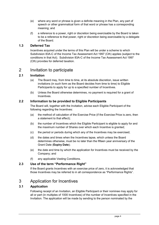- (e) where any word or phrase is given a definite meaning in the Plan, any part of speech or other grammatical form of that word or phrase has a corresponding meaning; and
- (f) a reference to a power, right or discretion being exercisable by the Board is taken to be a reference to that power, right or discretion being exercisable by a delegate of the Board.

#### 1.3 Deferred Tax

Incentives acquired under the terms of this Plan will be under a scheme to which Subdivision 83A-C of the Income Tax Assessment Act 1997 (Cth) applies (subject to the conditions in that Act). Subdivision 83A-C of the Income Tax Assessment Act 1997 (Cth) provides for deferred taxation.

## 2 Invitation to participate

#### 2.1 Invitation

- (a) The Board may, from time to time, at its absolute discretion, issue written invitations (in such form as the Board decides from time to time) to Eligible Participants to apply for up to a specified number of Incentives.
- (b) Unless the Board otherwise determines, no payment is required for a grant of **Incentives**

#### 2.2 Information to be provided to Eligible Participants

The Board will, together with the Invitation, advise each Eligible Participant of the following regarding the Incentives:

- (a) the method of calculation of the Exercise Price (if the Exercise Price is zero, then a statement to that effect);
- (b) the number of Incentives which the Eligible Participant is eligible to apply for and the maximum number of Shares over which each Incentive is granted;
- (c) the period or periods during which any of the Incentives may be exercised;
- (d) the dates and times when the Incentives lapse, which unless the Board determines otherwise, must be no later than the fifteen year anniversary of the Grant Date (Expiry Date);
- (e) the date and time by which the application for Incentives must be received by the Company; and
- (f) any applicable Vesting Conditions.

#### 2.3 Use of the term "Performance Right"

If the Board grants Incentives with an exercise price of zero, it is acknowledged that those Incentives may be referred to in all correspondence as "Performance Rights".

## 3 Application for Incentives

#### 3.1 Application

Following receipt of an Invitation, an Eligible Participant or their nominee may apply for all or part (in multiples of 1000 Incentives) of the number of Incentives specified in the Invitation. The application will be made by sending to the person nominated by the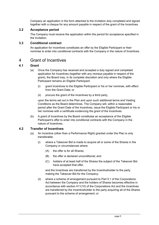Company an application in the form attached to the Invitation duly completed and signed together with a cheque for any amount payable in respect of the grant of the Incentives.

#### 3.2 Acceptance period

The Company must receive the application within the period for acceptance specified in the Invitation.

#### 3.3 Conditional contract

An application for Incentives constitutes an offer by the Eligible Participant or their nominee to enter into conditional contracts with the Company in the nature of Incentives.

## 4 Grant of Incentives

#### 4.1 Grant

- (a) Once the Company has received and accepted a duly signed and completed application for Incentives (together with any moneys payable in respect of the grant), the Board may, in its complete discretion and only where the Eligible Participant remains an Eligible Participant:
	- (i) grant Incentives to the Eligible Participant or his or her nominee, with effect from the Grant Date; or
	- (ii) procure the grant of the Incentives by a third party,

upon the terms set out in the Plan and upon such additional terms and Vesting Conditions as the Board determines. The Company will, within a reasonable period after the Grant Date of the Incentives, issue the Eligible Participant or his or her nominee with a certificate evidencing the grant of the Incentives.

(b) A grant of Incentives by the Board constitutes an acceptance of the Eligible Participant's offer to enter into conditional contracts with the Company in the nature of Incentives.

#### 4.2 Transfer of Incentives

- (a) An Incentive (other than a Performance Right) granted under the Plan is only transferable:
	- (i) where a Takeover Bid is made to acquire all or some of the Shares in the Company in circumstances where:
		- (A) the offer is for all Shares;
		- (B) the offer is declared unconditional; and
		- (C) holders of at least half of the Shares the subject of the Takeover Bid have accepted that offer,

and the Incentives are transferred by the Incentiveholder to the party making the Takeover Bid for the Company;

(ii) where a scheme of arrangement pursuant to Part 5.1 of the Corporations Act between the Company and the holders of Shares becomes effective in accordance with section 411(10) of the Corporations Act and the Incentives are transferred by the Incentiveholder to the party acquiring all of the Shares pursuant to the scheme of arrangement; or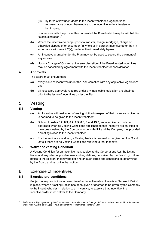(iii) by force of law upon death to the Incentiveholder's legal personal representative or upon bankruptcy to the Incentiveholder's trustee in bankruptcy,

or otherwise with the prior written consent of the Board (which may be withheld in its sole discretion). $<sup>1</sup>$ </sup>

- (b) Where the Incentiveholder purports to transfer, assign, mortgage, charge or otherwise dispose of or encumber (in whole or in part) an Incentive other than in accordance with rule 4.2(a), the Incentive immediately lapses.
- (c) An Incentive granted under the Plan may not be used to secure the payment of any monies.
- (d) Upon a Change of Control, at the sole discretion of the Board vested Incentives may be cancelled by agreement with the Incentiveholder for consideration.

#### 4.3 Approvals

The Board must ensure that:

- (a) every issue of Incentives under the Plan complies with any applicable legislation; and
- (b) all necessary approvals required under any applicable legislation are obtained prior to the issue of Incentives under the Plan.

## 5 Vesting

#### 5.1 Vesting

- (a) An Incentive will vest when a Vesting Notice in respect of that Incentive is given or is deemed to be given to the Incentiveholder;
- (b) Subject to rules  $6.2, 6.3, 6.4, 6.5, 6.8, 8$  and  $13.3$ , an Incentive can only be exercised when all Vesting Conditions applicable to that Incentive are satisfied or have been waived by the Company under rule 5.2 and the Company has provided a Vesting Notice to the Incentiveholder.
- (c) For the avoidance of doubt, a Vesting Notice is deemed to be given on the Grant Date if there are no Vesting Conditions relevant to that Incentive,

#### 5.2 Waiver of Vesting Condition

A Vesting Condition for an Incentive may, subject to the Corporations Act, the Listing Rules and any other applicable laws and regulations, be waived by the Board by written notice to the relevant Incentiveholder and on such terms and conditions as determined by the Board and set out in that notice.

## 6 Exercise of Incentives

#### 6.1 Exercise pre-conditions

-

Subject to any restrictions on exercise of an Incentive whilst there is a Black-out Period in place, where a Vesting Notice has been given or deemed to be given by the Company to the Incentiveholder in relation to an Incentive, to exercise that Incentive, the Incentiveholder must deliver to the Company:

<sup>1</sup> Performance Rights granted by the Company are not transferrable on Change of Control. Where the conditions for transfer under rules  $4.2(a)(i)$  and  $4.2(a)(ii)$  have been met the Performance Rights will vest.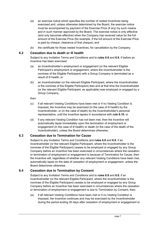- (a) an exercise notice which specifies the number of vested Incentives being exercised and, unless otherwise determined by the Board, the exercise notice must be accompanied by payment of the Exercise Price (if any) by such means and in such manner approved by the Board. The exercise notice is only effective (and only becomes effective) when the Company has received value for the full amount of the Exercise Price (for example, if the full amount of the Exercise Price is paid by cheque, clearance of that cheque); and
- (b) the certificate for those vested Incentives, for cancellation by the Company.

#### 6.2 Cessation due to death or ill health

Subject to any Invitation Terms and Conditions and to rules 6.8 and 6.9, if before an Incentive has been exercised:

- (a) an Incentiveholder's employment or engagement (or the relevant Eligible Participant's employment or engagement, where the Incentiveholder is the nominee of the Eligible Participant) with a Group Company is terminated as a result of ill health; or
- (b) an Incentiveholder (or the relevant Eligible Participant, where the Incentiveholder is the nominee of the Eligible Participant) dies and at that time the Incentiveholder (or the relevant Eligible Participant, as applicable) was employed or engaged by a Group Company,

then:

- (c) if all relevant Vesting Conditions have been met or if no Vesting Condition is imposed, the Incentive may be exercised (in the case of ill health) by the Incentiveholder, or (in the case of death) by the Incentiveholder's personal representative, until the Incentive lapses in accordance with rule 6.10; or
- (d) if any relevant Vesting Condition has not been met, then the Incentive will automatically lapse immediately upon the termination of employment or engagement (in the case of ill health) or death (in the case of the death of the Incentiveholder), unless the Board determines otherwise.

#### 6.3 Cessation due to Termination for Cause

Subject to any Invitation Terms and Conditions and rules 6.8 and 6.9, if an Incentiveholder (or the relevant Eligible Participant, where the Incentiveholder is the nominee of the Eligible Participant) ceases to be employed or engaged by any Group Company before an Incentive has been exercised in circumstances where the cessation or termination of employment or engagement is because of Termination for Cause, then the Incentive will, regardless of whether any relevant Vesting Conditions have been met, automatically lapse on the date of cessation of employment or engagement, unless the Board determines otherwise.

#### 6.4 Cessation due to Termination by Consent

Subject to any Invitation Terms and Conditions and to rules 6.8 and 6.9, if an Incentiveholder (or the relevant Eligible Participant, where the Incentiveholder is the nominee of the Eligible Participant) ceases to be employed or engaged by any Group Company before an Incentive has been exercised in circumstances where the cessation or termination of employment or engagement is due to Termination by Consent, then:

(a) if all relevant Vesting Conditions have been met or if no Vesting Condition is imposed, the Incentive continues and may be exercised by the Incentiveholder during the period ending 30 days after cessation of employment or engagement or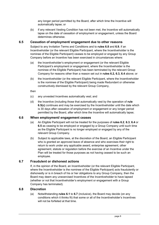any longer period permitted by the Board, after which time the Incentive will automatically lapse; or

(b) if any relevant Vesting Condition has not been met, the Incentive will automatically lapse on the date of cessation of employment or engagement, unless the Board determines otherwise.

#### 6.5 Cessation of employment/ engagement due to other reasons

Subject to any Invitation Terms and Conditions and to rules 6.8 and 6.9, if an Incentiveholder (or the relevant Eligible Participant, where the Incentiveholder is the nominee of the Eligible Participant) ceases to be employed or engaged by any Group Company before an Incentive has been exercised in circumstances where:

- (a) the Incentiveholder's employment or engagement (or the relevant Eligible Participant's employment or engagement, where the Incentiveholder is the nominee of the Eligible Participant) has been terminated by the relevant Group Company for reasons other than a reason set out in rules 6.2, 6.3, 6.4 above; or
- (b) the Incentiveholder (or the relevant Eligible Participant, where the Incentiveholder is the nominee of the Eligible Participant) being made Redundant or otherwise constructively dismissed by the relevant Group Company,

then

- (c) any unvested Incentives automatically vest; and
- (d) the Incentive (including those that automatically vest by the operation of rule 6.5(c) continues and may be exercised by the Incentiveholder until the date which is 30 days after cessation of employment or engagement or any longer period permitted by the Board, after which time the Incentive will automatically lapse;

#### 6.6 When employment/ engagement ceases

- (a) An Eligible Participant will not be treated for the purposes of rules 6.2, 6.3, 6.4 or 6.5 as ceasing to be employed or engaged by a Group Company until such time as the Eligible Participant is no longer employed or engaged by any of the relevant Group Company.
- (b) Subject to applicable laws, at the discretion of the Board, an Eligible Participant who is granted an approved leave of absence and who exercises their right to return to work under any applicable award, enterprise agreement, other agreement, statute or regulation before the exercise of an Incentive under the Plan will be treated for those purposes as not having ceased to be such an employee.

#### 6.7 Fraudulent or dishonest actions

If, in the opinion of the Board, an Incentiveholder (or the relevant Eligible Participant, where the Incentiveholder is the nominee of the Eligible Participant) acts fraudulently or dishonestly or is in breach of his or her obligations to any Group Company, then the Board may deem any unexercised Incentives of the Incentiveholder to have lapsed (whether or not that Incentiveholder's employment or engagement with a Group Company has terminated).

#### 6.8 Discretion

(a) Notwithstanding rules 6.1 to 6.7 (inclusive), the Board may decide (on any conditions which it thinks fit) that some or all of the Incentiveholder's Incentives will not be forfeited at that time.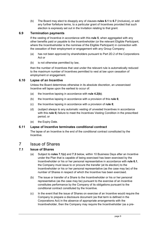(b) The Board may elect to disapply any of clauses rules 6.1 to 6.7 (inclusive), or add any further forfeiture terms, to a particular grant of Incentives provided that such election is expressly set out in the Invitation relating to that grant.

#### 6.9 Termination payments

If the vesting of Incentive in accordance with this rule 5, when aggregated with any other benefits paid or payable to the Incentiveholder (or the relevant Eligible Participant, where the Incentiveholder is the nominee of the Eligible Participant) in connection with the cessation of their employment or engagement with any Group Company:

- (a) has not been approved by shareholders pursuant to Part 2D.2 of the Corporations Act or
- (b) is not otherwise permitted by law,

then the number of Incentives that vest under the relevant rule is automatically reduced to the maximum number of Incentives permitted to vest at law upon cessation of employment or engagement.

#### 6.10 Lapse of an Incentive

Unless the Board determines otherwise in its absolute discretion, an unexercised Incentive will lapse upon the earliest to occur of:

- (a) the Incentive lapsing in accordance with rule  $4.2(b)$ ;
- (b) the Incentive lapsing in accordance with a provision of this rule  $6$ ;
- (c) the Incentive lapsing in accordance with a provision of rule  $8$ ;
- (d) (subject always to any automatic vesting of unvested Incentives in accordance with this rule 6) failure to meet the Incentives Vesting Condition in the prescribed period; or
- (e) the Expiry Date.

#### 6.11 Lapse of Incentive terminates conditional contract

The lapse of an Incentive is the end of the conditional contract constituted by the **Incentive** 

## 7 Issue of Shares

#### 7.1 Issue of Shares

- (a) Subject to rules 7.1(c) and 7.3 below, within 10 Business Days after an Incentive under the Plan that is capable of being exercised has been exercised by the Incentiveholder or his or her personal representative in accordance with rule 6.1, the Company must issue to or procure the transfer (at its election) to the Incentiveholder or his or her personal representative (as the case may be) of the number of Shares in respect of which the Incentive has been exercised.
- (b) The issue or transfer of a Share to the Incentiveholder or his or her personal representative (as the case may be) pursuant to the exercise of an Incentive constitutes performance by the Company of its obligations pursuant to the conditional contract constituted by the Incentive.
- (c) In the event that the issue of Shares on exercise of an Incentive would require the Company to prepare a disclosure document (as that term is defined in the Corporations Act) in the absence of appropriate arrangements with the Incentiveholder, then the Company may require the Incentiveholder (as a pre-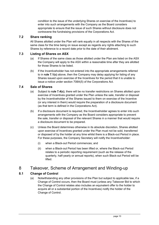condition to the issue of the underlying Shares on exercise of the Incentives) to enter into such arrangements with the Company as the Board considers appropriate to ensure that the issue of such Shares without disclosure does not contravene the fundraising provisions of the Corporations Act.

#### 7.2 Share ranking

All Shares allotted under the Plan will rank equally in all respects with the Shares of the same class for the time being on issue except as regards any rights attaching to such Shares by reference to a record date prior to the date of their allotment.

#### 7.3 Listing of Shares on ASX

- (a) If Shares of the same class as those allotted under the Plan are listed on the ASX the Company will apply to the ASX within a reasonable time after they are allotted for those Shares to be listed.
- (b) If the Incentiveholder has not entered into the appropriate arrangements referred to in rule 7.1(c) above, then the Company may delay applying for listing of any Shares issued upon exercise of the Incentives for the period that it is unable to issue a notice under section 708A(5) of the Corporations Act.

#### 7.4 Sale of Shares

- (a) Subject to rule  $7.4(c)$ , there will be no transfer restrictions on Shares allotted upon exercise of Incentives granted under the Plan unless the sale, transfer or disposal by the Incentiveholder of the Shares issued to them on exercise of the Incentive (or any interest in them) would require the preparation of a disclosure document (as that term is defined in the Corporations Act).
- (b) If a disclosure document is required, the Incentiveholder agrees to enter into such arrangements with the Company as the Board considers appropriate to prevent the sale, transfer or disposal of the relevant Shares in a manner that would require a disclosure document to be prepared.
- (c) Unless the Board determines otherwise in its absolute discretion, Shares allotted upon exercise of Incentives granted under the Plan must not be sold, transferred or disposed of by the holder at any time whilst there is a Black-out Period in place. For these purposes, the Company Secretary will notify the Incentiveholder:
	- (i) when a Black-out Period commences; and
	- (ii) when a Black-out Period has been lifted or, where the Black-out Period relates to a periodic reporting requirement (such as the release of the quarterly, half-yearly or annual reports), when such Black-out Period will be lifted.

## 8 Takeover, Scheme of Arrangement and Winding-up

#### 8.1 Change of Control

(a) Notwithstanding any other provisions of the Plan but subject to applicable law, if a Change of Control occurs, then the Board must (unless any Takeover Bid to which the Change of Control relates also includes an equivalent offer to the holder to acquire all or a substantial portion of the Incentives) notify the holder of the Change of Control.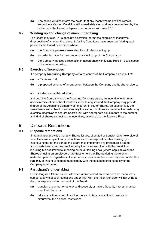(b) The notice will also inform the holder that any Incentives held which remain subject to a Vesting Condition will immediately vest and may be exercised by the holder until the Incentive lapses in accordance with rule 6.10.

#### 8.2 Winding up and change of main undertaking

The Board may also, in its absolute discretion, permit the exercise of Incentives (irrespective of whether the relevant Vesting Conditions have been met) during such period as the Board determines where:

- (a) the Company passes a resolution for voluntary winding up;
- (b) an order is made for the compulsory winding up of the Company; or
- (c) the Company passes a resolution in accordance with Listing Rule 11.2 to dispose of its main undertaking.

#### 8.3 Exercise of Incentives

If a company (Acquiring Company) obtains control of the Company as a result of:

- (a) a Takeover Bid;
- (b) a proposed scheme of arrangement between the Company and its shareholders; or
- (c) a selective capital reduction,

and both the Company and the Acquiring Company agree, an Incentiveholder may, upon exercise of his or her Incentives, elect to acquire and the Company may provide shares of the Acquiring Company or its parent in lieu of Shares, on substantially the same terms and subject to substantially the same conditions as the Incentiveholder may exercise Incentives to acquire Shares, but with appropriate adjustments to the number and kind of shares subject to the Incentives, as well as to the Exercise Price.

## 9 Disposal Restrictions

#### 9.1 Disposal restrictions

If the Invitation provides that any Shares issued, allocated or transferred on exercise of Incentives are subject to any restrictions as to the disposal or other dealing by a Incentiveholder for the period, the Board may implement any procedure it deems appropriate to ensure the compliance by the Incentiveholder with this restriction, including but not limited to imposing an ASX Holding Lock (where applicable) on the Shares or using an employee share trust to hold the Shares during the relevant restriction period. Regardless of whether any restrictions have been imposed under this rule 9.1, all Incentiveholders must comply with the securities trading policy of the Company at all times.

#### 9.2 Participant's undertaking

For so long as a Share issued, allocated or transferred on exercise of an Incentive is subject to any disposal restrictions under this Plan, the Incentiveholder will not without the prior express written consent of the Board:

- (a) transfer, encumber or otherwise dispose of, or have a Security Interest granted over that Share; or
- (b) take any action or permit another person to take any action to remove or circumvent the disposal restrictions.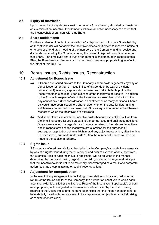#### 9.3 Expiry of restriction

Upon the expiry of any disposal restriction over a Share issued, allocated or transferred on exercise of an Incentive, the Company will take all action necessary to ensure that the Incentiveholder can deal with that Share.

#### 9.4 Share entitlements

For the avoidance of doubt, the imposition of a disposal restriction on a Share held by an Incentiveholder will not affect the Incentiveholder's entitlement to receive a notice of, or to vote or attend at, a meeting of the members of the Company, and to receive any dividends declared by the Company during the relevant disposal restriction period on that Share. If an employee share trust arrangement is implemented in respect of this Plan, the Board may implement such procedures it deems appropriate to give effect to the intent of this rule 9.4.

## 10 Bonus Issues, Rights Issues, Reconstruction

#### 10.1 Adjustment for Bonus Issue

- (a) If Shares are issued pro rata to the Company's shareholders generally by way of bonus issue (other than an issue in lieu of dividends or by way of dividend reinvestment) involving capitalisation of reserves or distributable profits, the Incentiveholder is entitled, upon exercise of the Incentives, to receive, in addition to the Shares in respect of which the Incentives are exercised and without the payment of any further consideration, an allotment of as many additional Shares as would have been issued to a shareholder who, on the date for determining entitlements under the bonus issue, held Shares equal in number to the Shares in respect of which the Incentives are exercised.
- (b) Additional Shares to which the Incentiveholder becomes so entitled will, as from the time Shares are issued pursuant to the bonus issue and until those additional Shares are allotted, be regarded as Shares comprised in the relevant Incentives and in respect of which the Incentives are exercised for the purposes of subsequent applications of rule  $10.1(a)$ , and any adjustments which, after the time just mentioned, are made under rule 10.3 to the number of Shares will also be made to the additional Shares.

#### 10.2 Rights Issue

If Shares are offered pro rata for subscription by the Company's shareholders generally by way of a rights issue during the currency of and prior to exercise of any Incentives, the Exercise Price of each Incentive (if applicable) will be adjusted in the manner determined by the Board having regard to the Listing Rules and the general principle that the Incentiveholder is not to be materially disadvantaged as a result of a corporate action (such as a capital raising or capital reconstruction).

#### 10.3 Adjustment for reorganisation

In the event of any reorganisation (including consolidation, subdivision, reduction or return) of the issued capital of the Company, the number of Incentives to which each Incentiveholder is entitled or the Exercise Price of the Incentives (if applicable), or both as appropriate, will be adjusted in the manner as determined by the Board having regards to the Listing Rules and the general principle that the Incentiveholder is not to be materially disadvantaged as a result of a corporate action (such as a capital raising or capital reconstruction).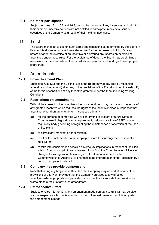#### 10.4 No other participation

Subject to **rules 10.1, 10.2** and 10.3, during the currency of any Incentives and prior to their exercise, Incentiveholder's are not entitled to participate in any new issue of securities of the Company as a result of their holding Incentives.

## 11 Trust

The Board may elect to use on such terms and conditions as determined by the Board in its absolute discretion an employee share trust for the purposes of holding Shares before or after the exercise of an Incentive or delivering any Shares on exercise of Incentives under these rules. For the avoidance of doubt, the Board may do all things necessary for the establishment, administration, operation and funding of an employee share trust.

### 12 Amendments

#### 12.1 Power to amend Plan

Subject to rule 12.2 and the Listing Rules, the Board may at any time by resolution amend or add to (amend) all or any of the provisions of the Plan (including this rule 12). or the terms or conditions of any Incentive granted under the Plan, including Vesting Conditions.

#### 12.2 Restrictions on amendments

Without the consent of the Incentiveholder no amendment may be made to the terms of any granted Incentive which reduces the rights of the Incentiveholder in respect of that Incentive, other than an amendment introduced primarily:

- (a) for the purpose of complying with or conforming to present or future State or Commonwealth legislation or a requirement, policy or practice of ASIC or other regulatory body governing or regulating the maintenance or operation of the Plan or like plans;
- (b) to correct any manifest error or mistake;
- (c) to allow the implemention of an employee share trust arrangement pursuant to rule 12 ; or
- (d) to take into consideration possible adverse tax implications in respect of the Plan arising from, amongst others, adverse rulings from the Commissioner of Taxation, changes to tax legislation (including an official announcement by the Commonwealth of Australia) or changes in the interpretation of tax legislation by a court of competent jurisdiction.

#### 12.3 Company may provide compensation

Notwithstanding anything else in this Plan, the Company may amend all or any of the provisions of this Plan, provided that the Company provides to any affected Incentiveholder appropriate compensation, such that the Incentiveholder remains no worse off as a result of any such amendment.

#### 12.4 Retrospective Effect

Subject to rules 12.1 to 12.3, any amendment made pursuant to rule 12 may be given such retrospective effect as is specified in the written instrument or resolution by which the amendment is made.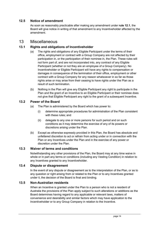#### 12.5 Notice of amendment

As soon as reasonably practicable after making any amendment under rule 12.1, the Board will give notice in writing of that amendment to any Incentiveholder affected by the amendment.

## 13 Miscellaneous

#### 13.1 Rights and obligations of Incentiveholder

- (a) The rights and obligations of any Eligible Participant under the terms of their office, employment or contract with a Group Company are not affected by their participation in, or the participation of their nominee in, the Plan. These rules will not form part of, and are not incorporated into, any contract of any Eligible Participant (whether or not they are an employee of a Group Company). No Incentiveholder or Eligible Participant will have any rights to compensation or damages in consequence of the termination of their office, employment or other contract with a Group Company for any reason whatsoever in so far as those rights arise or may arise from their ceasing to have rights under the Plan as a result of such termination.
- (b) Nothing in the Plan will give any Eligible Participant any right to participate in the Plan and the grant of an Incentive to an Eligible Participant or their nominee does not give that Eligible Participant any right to the grant of a subsequent Incentive.

#### 13.2 Power of the Board

- (a) The Plan is administered by the Board which has power to:
	- (i) determine appropriate procedures for administration of the Plan consistent with these rules; and
	- (ii) delegate to any one or more persons for such period and on such conditions as it may determine the exercise of any of its powers or discretions arising under the Plan.
- (b) Except as otherwise expressly provided in this Plan, the Board has absolute and unfettered discretion to act or refrain from acting under or in connection with the Plan or any Incentives under the Plan and in the exercise of any power or discretion under the Plan.

#### 13.3 Waiver of terms and conditions

Notwithstanding any other provisions of the Plan, the Board may at any time waive in whole or in part any terms or conditions (including any Vesting Condition) in relation to any Incentives granted to any Incentiveholder.

#### 13.4 Dispute or disagreement

In the event of any dispute or disagreement as to the interpretation of the Plan, or as to any question or right arising from or related to the Plan or to any Incentives granted under it, the decision of the Board is final and binding.

#### 13.5 Non-Australian residents

When an Incentive is granted under the Plan to a person who is not a resident of Australia the provisions of the Plan apply subject to such alterations or additions as the Board determines having regard to any applicable or relevant laws, matters of convenience and desirability and similar factors which may have application to the Incentiveholder or to any Group Company in relation to the Incentive.